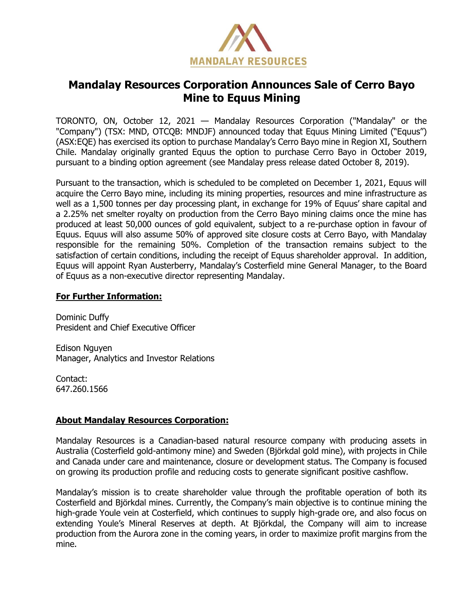

## **Mandalay Resources Corporation Announces Sale of Cerro Bayo Mine to Equus Mining**

TORONTO, ON, October 12, 2021 — Mandalay Resources Corporation ("Mandalay" or the "Company") (TSX: MND, OTCQB: MNDJF) announced today that Equus Mining Limited ("Equus") (ASX:EQE) has exercised its option to purchase Mandalay's Cerro Bayo mine in Region XI, Southern Chile. Mandalay originally granted Equus the option to purchase Cerro Bayo in October 2019, pursuant to a binding option agreement (see Mandalay press release dated October 8, 2019).

Pursuant to the transaction, which is scheduled to be completed on December 1, 2021, Equus will acquire the Cerro Bayo mine, including its mining properties, resources and mine infrastructure as well as a 1,500 tonnes per day processing plant, in exchange for 19% of Equus' share capital and a 2.25% net smelter royalty on production from the Cerro Bayo mining claims once the mine has produced at least 50,000 ounces of gold equivalent, subject to a re-purchase option in favour of Equus. Equus will also assume 50% of approved site closure costs at Cerro Bayo, with Mandalay responsible for the remaining 50%. Completion of the transaction remains subject to the satisfaction of certain conditions, including the receipt of Equus shareholder approval. In addition, Equus will appoint Ryan Austerberry, Mandalay's Costerfield mine General Manager, to the Board of Equus as a non-executive director representing Mandalay.

## **For Further Information:**

Dominic Duffy President and Chief Executive Officer

Edison Nguyen Manager, Analytics and Investor Relations

Contact: 647.260.1566

## **About Mandalay Resources Corporation:**

Mandalay Resources is a Canadian-based natural resource company with producing assets in Australia (Costerfield gold-antimony mine) and Sweden (Björkdal gold mine), with projects in Chile and Canada under care and maintenance, closure or development status. The Company is focused on growing its production profile and reducing costs to generate significant positive cashflow.

Mandalay's mission is to create shareholder value through the profitable operation of both its Costerfield and Björkdal mines. Currently, the Company's main objective is to continue mining the high-grade Youle vein at Costerfield, which continues to supply high-grade ore, and also focus on extending Youle's Mineral Reserves at depth. At Björkdal, the Company will aim to increase production from the Aurora zone in the coming years, in order to maximize profit margins from the mine.